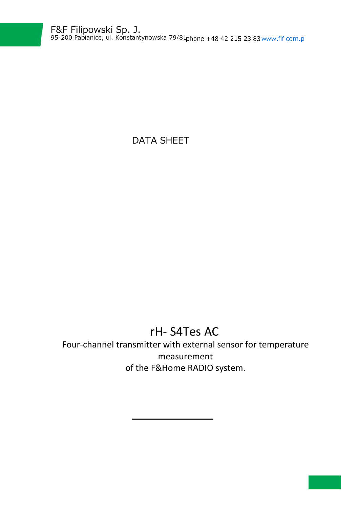DATA SHEET

## rH- S4Tes AC

Four-channel transmitter with external sensor for temperature measurement of the F&Home RADIO system.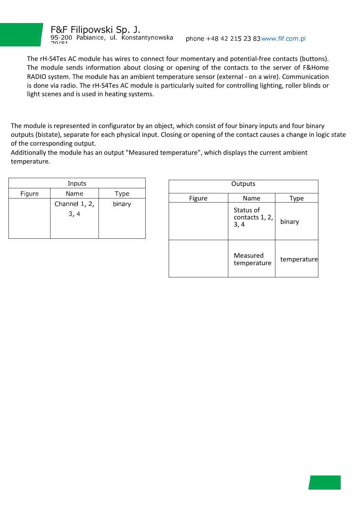

The rH-S4Tes AC module has wires to connect four momentary and potential-free contacts (buttons). The module sends information about closing or opening of the contacts to the server of F&Home RADIO system. The module has an ambient temperature sensor (external - on a wire). Communication is done via radio. The rH-S4Tes AC module is particularly suited for controlling lighting, roller blinds or light scenes and is used in heating systems.

The module is represented in configurator by an object, which consist of four binary inputs and four binary outputs (bistate), separate for each physical input. Closing or opening of the contact causes a change in logic state of the corresponding output.

Additionally the module has an output "Measured temperature", which displays the current ambient temperature.

| Inputs |                 |        |  |  |
|--------|-----------------|--------|--|--|
| Figure | Name            | Type   |  |  |
|        | Channel $1, 2,$ | binary |  |  |
|        | 3, 4            |        |  |  |
|        |                 |        |  |  |
|        |                 |        |  |  |

ł

| Outputs |                                     |             |  |
|---------|-------------------------------------|-------------|--|
| Figure  | Name                                | Type        |  |
|         | Status of<br>contacts 1, 2,<br>3, 4 | binary      |  |
|         | Measured<br>temperature             | temperature |  |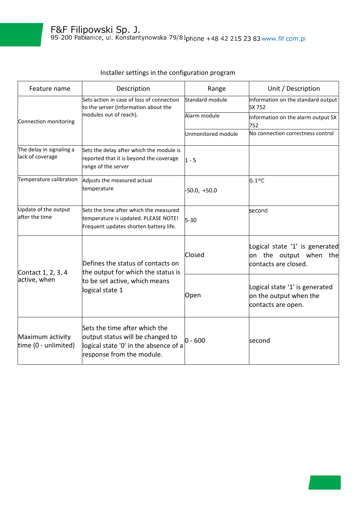| Feature name                                 | Description                                                                                                                             | Range              | Unit / Description                                                               |
|----------------------------------------------|-----------------------------------------------------------------------------------------------------------------------------------------|--------------------|----------------------------------------------------------------------------------|
| Connection monitoring                        | Sets action in case of loss of connection<br>to the server (information about the                                                       | Standard module    | Information on the standard output<br>SX 752                                     |
|                                              | modules out of reach).                                                                                                                  | Alarm module       | Information on the alarm output SX<br>752                                        |
|                                              |                                                                                                                                         | Unmonitored module | No connection correctness control                                                |
| The delay in signaling a<br>lack of coverage | Sets the delay after which the module is<br>reported that it is beyond the coverage<br>range of the server                              | $1 - 5$            |                                                                                  |
| Temperature calibration                      | Adjusts the measured actual<br>temperature                                                                                              | $-50.0, +50.0$     | $0.1^{\circ}$ C                                                                  |
| Update of the output<br>after the time       | Sets the time after which the measured<br>temperature is updated. PLEASE NOTE!<br>Frequent updates shorten battery life.                | $5 - 30$           | second                                                                           |
| Contact 1, 2, 3, 4<br>active, when           | Defines the status of contacts on<br>the output for which the status is<br>to be set active, which means<br>logical state 1             | Closed             | Logical state '1' is generated<br>on the output when the<br>contacts are closed. |
|                                              |                                                                                                                                         | Open               | Logical state '1' is generated<br>on the output when the<br>contacts are open.   |
| Maximum activity<br>time (0 - unlimited)     | Sets the time after which the<br>output status will be changed to<br>logical state '0' in the absence of a<br>response from the module. | $0 - 600$          | second                                                                           |

## Installer settings in the configuration program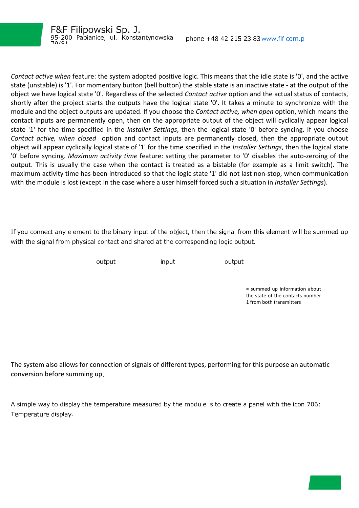ł

*Contact active when* feature: the system adopted positive logic. This means that the idle state is '0', and the active state (unstable) is '1'. For momentary button (bell button) the stable state is an inactive state - at the output of the object we have logical state '0'. Regardless of the selected *Contact active* option and the actual status of contacts, shortly after the project starts the outputs have the logical state '0'. It takes a minute to synchronize with the module and the object outputs are updated. If you choose the *Contact active, when open* option, which means the contact inputs are permanently open, then on the appropriate output of the object will cyclically appear logical state '1' for the time specified in the *Installer Settings*, then the logical state '0' before syncing. If you choose *Contact active, when closed* option and contact inputs are permanently closed, then the appropriate output object will appear cyclically logical state of '1' for the time specified in the *Installer Settings*, then the logical state '0' before syncing. *Maximum activity time* feature: setting the parameter to '0' disables the auto-zeroing of the output. This is usually the case when the contact is treated as a bistable (for example as a limit switch). The maximum activity time has been introduced so that the logic state '1' did not last non-stop, when communication with the module is lost (except in the case where a user himself forced such a situation in *Installer Settings*).

If you connect any element to the binary input of the object, then the signal from this element will be summed up with the signal from physical contact and shared at the corresponding logic output.

output input output

= summed up information about the state of the contacts number 1 from both transmitters

The system also allows for connection of signals of different types, performing for this purpose an automatic conversion before summing up.

A simple way to display the temperature measured by the module is to create a panel with the icon 706: Temperature display.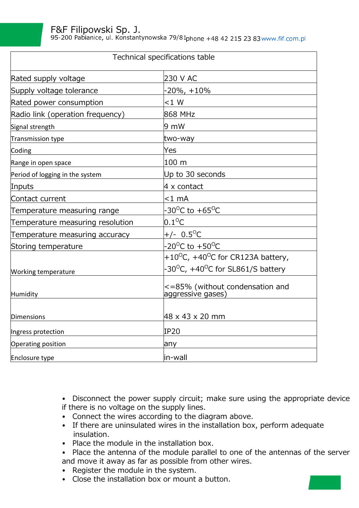95-200 Pabianice, ul. Konstantynowska 79/81 phone +48 42 215 23 83 www.fif.com.pl

| Technical specifications table   |                                                            |  |  |
|----------------------------------|------------------------------------------------------------|--|--|
| Rated supply voltage             | 230 V AC                                                   |  |  |
| Supply voltage tolerance         | -20%, +10%                                                 |  |  |
| Rated power consumption          | $< 1$ W                                                    |  |  |
| Radio link (operation frequency) | 868 MHz                                                    |  |  |
| Signal strength                  | $9 \text{ mW}$                                             |  |  |
| Transmission type                | two-way                                                    |  |  |
| Coding                           | Yes                                                        |  |  |
| Range in open space              | 100 m                                                      |  |  |
| Period of logging in the system  | Up to 30 seconds                                           |  |  |
| Inputs                           | $4 \times$ contact                                         |  |  |
| Contact current                  | $<$ 1 mA                                                   |  |  |
| Temperature measuring range      | -30 <sup>o</sup> C to +65 <sup>o</sup> C                   |  |  |
| Temperature measuring resolution | $0.1^{\circ}$ C                                            |  |  |
| Temperature measuring accuracy   | +/- $0.5^{\circ}$ C                                        |  |  |
| Storing temperature              | $-20^{\circ}$ C to $+50^{\circ}$ C                         |  |  |
|                                  | +10 <sup>o</sup> C, +40 <sup>o</sup> C for CR123A battery, |  |  |
| <b>Working temperature</b>       | -30 <sup>o</sup> C, +40 <sup>o</sup> C for SL861/S battery |  |  |
| Humidity                         | <=85% (without condensation and<br>aggressive gases)       |  |  |
| Dimensions                       | 48 x 43 x 20 mm                                            |  |  |
| Ingress protection               | IP20                                                       |  |  |
| Operating position               | any                                                        |  |  |
| Enclosure type                   | in-wall                                                    |  |  |

• Disconnect the power supply circuit; make sure using the appropriate device if there is no voltage on the supply lines.

- Connect the wires according to the diagram above.
- If there are uninsulated wires in the installation box, perform adequate insulation.
- Place the module in the installation box.
- Place the antenna of the module parallel to one of the antennas of the server and move it away as far as possible from other wires.
- Register the module in the system.
- Close the installation box or mount a button.